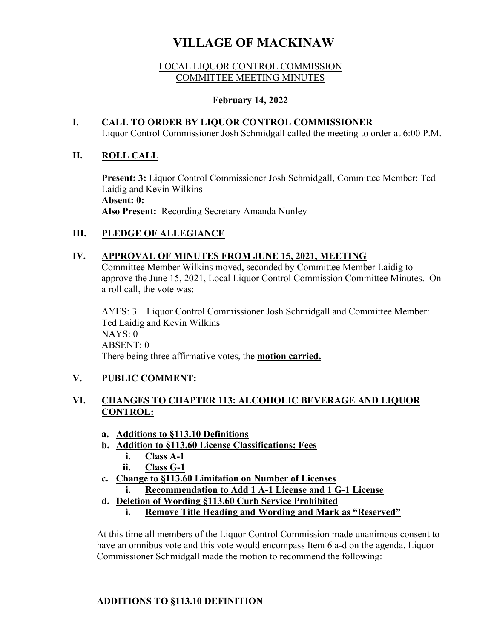# **VILLAGE OF MACKINAW**

#### LOCAL LIQUOR CONTROL COMMISSION COMMITTEE MEETING MINUTES

#### **February 14, 2022**

# **I. CALL TO ORDER BY LIQUOR CONTROL COMMISSIONER** Liquor Control Commissioner Josh Schmidgall called the meeting to order at 6:00 P.M.

#### **II. ROLL CALL**

**Present: 3:** Liquor Control Commissioner Josh Schmidgall, Committee Member: Ted Laidig and Kevin Wilkins **Absent: 0: Also Present:** Recording Secretary Amanda Nunley

# **III. PLEDGE OF ALLEGIANCE**

#### **IV. APPROVAL OF MINUTES FROM JUNE 15, 2021, MEETING**

Committee Member Wilkins moved, seconded by Committee Member Laidig to approve the June 15, 2021, Local Liquor Control Commission Committee Minutes. On a roll call, the vote was:

AYES: 3 – Liquor Control Commissioner Josh Schmidgall and Committee Member: Ted Laidig and Kevin Wilkins NAYS: 0 ABSENT: 0 There being three affirmative votes, the **motion carried.**

# **V. PUBLIC COMMENT:**

# **VI. CHANGES TO CHAPTER 113: ALCOHOLIC BEVERAGE AND LIQUOR CONTROL:**

- **a. Additions to §113.10 Definitions**
- **b. Addition to §113.60 License Classifications; Fees** 
	- **i. Class A-1**
	- **ii. Class G-1**
- **c. Change to §113.60 Limitation on Number of Licenses** 
	- **i. Recommendation to Add 1 A-1 License and 1 G-1 License**
- **d. Deletion of Wording §113.60 Curb Service Prohibited** 
	- **i. Remove Title Heading and Wording and Mark as "Reserved"**

At this time all members of the Liquor Control Commission made unanimous consent to have an omnibus vote and this vote would encompass Item 6 a-d on the agenda. Liquor Commissioner Schmidgall made the motion to recommend the following:

# **ADDITIONS TO §113.10 DEFINITION**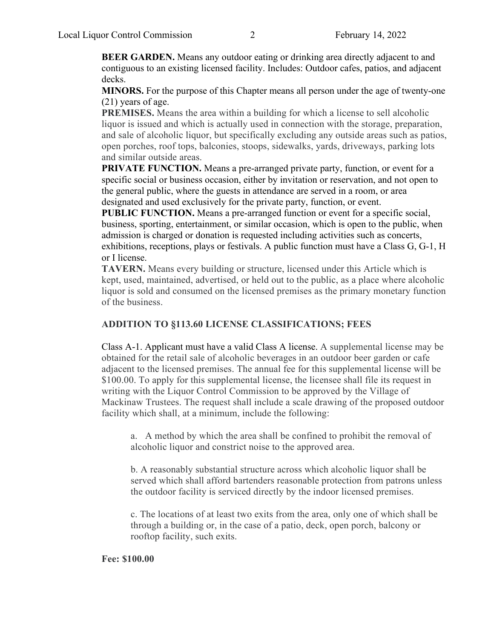**BEER GARDEN.** Means any outdoor eating or drinking area directly adjacent to and contiguous to an existing licensed facility. Includes: Outdoor cafes, patios, and adjacent decks.

**MINORS.** For the purpose of this Chapter means all person under the age of twenty-one (21) years of age.

**PREMISES.** Means the area within a building for which a license to sell alcoholic liquor is issued and which is actually used in connection with the storage, preparation, and sale of alcoholic liquor, but specifically excluding any outside areas such as patios, open porches, roof tops, balconies, stoops, sidewalks, yards, driveways, parking lots and similar outside areas.

**PRIVATE FUNCTION.** Means a pre-arranged private party, function, or event for a specific social or business occasion, either by invitation or reservation, and not open to the general public, where the guests in attendance are served in a room, or area designated and used exclusively for the private party, function, or event.

**PUBLIC FUNCTION.** Means a pre-arranged function or event for a specific social, business, sporting, entertainment, or similar occasion, which is open to the public, when admission is charged or donation is requested including activities such as concerts, exhibitions, receptions, plays or festivals. A public function must have a Class G, G-1, H or I license.

**TAVERN.** Means every building or structure, licensed under this Article which is kept, used, maintained, advertised, or held out to the public, as a place where alcoholic liquor is sold and consumed on the licensed premises as the primary monetary function of the business.

#### **ADDITION TO §113.60 LICENSE CLASSIFICATIONS; FEES**

Class A-1. Applicant must have a valid Class A license. A supplemental license may be obtained for the retail sale of alcoholic beverages in an outdoor beer garden or cafe adjacent to the licensed premises. The annual fee for this supplemental license will be \$100.00. To apply for this supplemental license, the licensee shall file its request in writing with the Liquor Control Commission to be approved by the Village of Mackinaw Trustees. The request shall include a scale drawing of the proposed outdoor facility which shall, at a minimum, include the following:

a. A method by which the area shall be confined to prohibit the removal of alcoholic liquor and constrict noise to the approved area.

b. A reasonably substantial structure across which alcoholic liquor shall be served which shall afford bartenders reasonable protection from patrons unless the outdoor facility is serviced directly by the indoor licensed premises.

c. The locations of at least two exits from the area, only one of which shall be through a building or, in the case of a patio, deck, open porch, balcony or rooftop facility, such exits.

#### **Fee: \$100.00**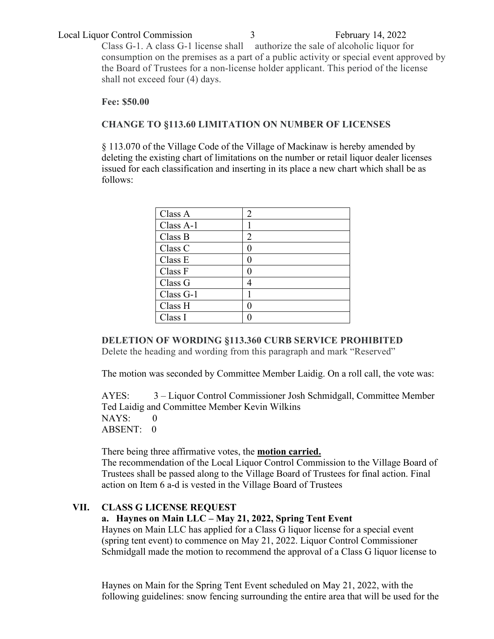#### Local Liquor Control Commission 3 February 14, 2022

Class G-1. A class G-1 license shall authorize the sale of alcoholic liquor for consumption on the premises as a part of a public activity or special event approved by the Board of Trustees for a non-license holder applicant. This period of the license shall not exceed four (4) days.

#### **Fee: \$50.00**

#### **CHANGE TO §113.60 LIMITATION ON NUMBER OF LICENSES**

§ 113.070 of the Village Code of the Village of Mackinaw is hereby amended by deleting the existing chart of limitations on the number or retail liquor dealer licenses issued for each classification and inserting in its place a new chart which shall be as follows:

| Class A     | 2 |
|-------------|---|
| Class $A-1$ |   |
| Class B     | 2 |
| Class C     |   |
| Class E     |   |
| Class F     |   |
| Class G     |   |
| Class G-1   |   |
| Class H     |   |
| Class I     |   |

**DELETION OF WORDING §113.360 CURB SERVICE PROHIBITED**

Delete the heading and wording from this paragraph and mark "Reserved"

The motion was seconded by Committee Member Laidig. On a roll call, the vote was:

AYES: 3 – Liquor Control Commissioner Josh Schmidgall, Committee Member Ted Laidig and Committee Member Kevin Wilkins NAYS: 0 ABSENT: 0

There being three affirmative votes, the **motion carried.**  The recommendation of the Local Liquor Control Commission to the Village Board of Trustees shall be passed along to the Village Board of Trustees for final action. Final action on Item 6 a-d is vested in the Village Board of Trustees

# **VII. CLASS G LICENSE REQUEST**

**a. Haynes on Main LLC – May 21, 2022, Spring Tent Event** 

Haynes on Main LLC has applied for a Class G liquor license for a special event (spring tent event) to commence on May 21, 2022. Liquor Control Commissioner Schmidgall made the motion to recommend the approval of a Class G liquor license to

Haynes on Main for the Spring Tent Event scheduled on May 21, 2022, with the following guidelines: snow fencing surrounding the entire area that will be used for the